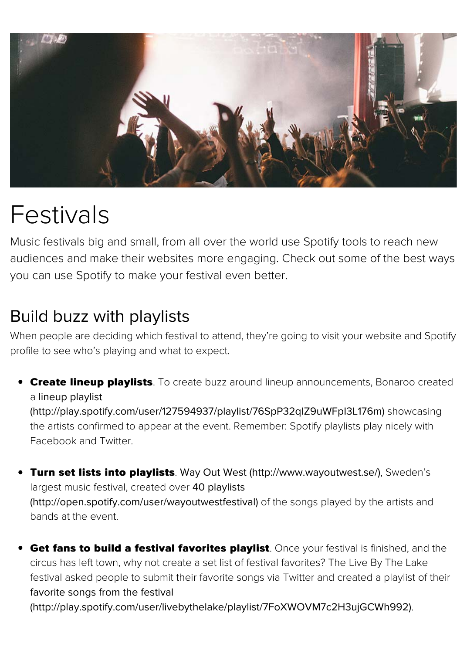

## Festivals

Music festivals big and small, from all over the world use Spotify tools to reach audiences and make their websites more engaging. Check out some of the b you can use Spotify to make your festival even better.

## Build buzz with playlists

When people are deciding which festival to attend, they're going to visit your website a profile to see who's playing and what to expect.

**Create lineup playlists**. To create buzz around lineup announcements, Bonaro a lineup playlist (http://play.spotify.com/user/127594937/playlist/76SpP32qIZ9uWFpI3L176m) show

the artists confirmed to appear at the event. Remember: Spotify playlists play nicely Facebook and Twitter.

- **Turn set lists into playlists**. Way Out West (http://www.wayoutwest.se/), Swed largest music festival, created over 40 playlists (http://open.spotify.com/user/wayoutwestfestival) of the songs played by the artist [bands at the event.](http://play.spotify.com/user/127594937/playlist/76SpP32qIZ9uWFpI3L176m)
- Get fans to build a festival favorites playlist. Once your festival is finished, circus has left town, why not create a set list of festival favorites? The Live By The L festival asked people to submit their favorite songs via Twitter and created a playlis favorite songs from the festival [\(http://play.spotify.com/user/livebythelake/playlist](http://open.spotify.com/user/wayoutwestfestival)[/7FoXWOVM7c2H3ujGCW](http://www.wayoutwest.se/)h992).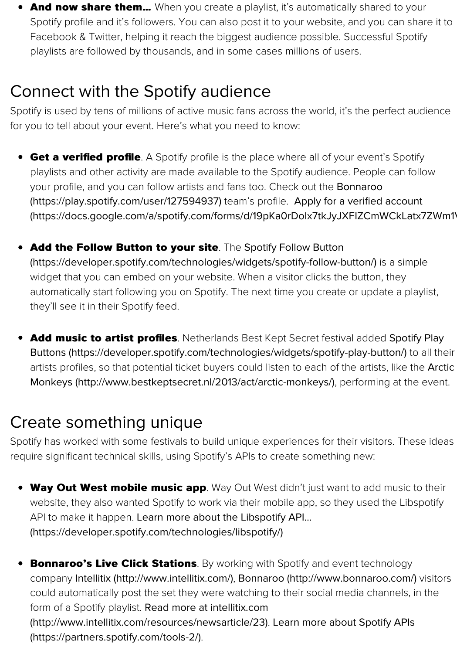for you to tell about your event. Here's what you need to know:

- **Get a verified profile**. A Spotify profile is the place where all of your event's Spotial playlists and other activity are made available to the Spotify audience. People can your profile, and you can follow artists and fans too. Check out the Bonnaroo (https://play.spotify.com/user/127594937) team's profile. Apply for a verified accor (https://docs.google.com/a/spotify.com/forms/d/19pKa0rDoIx7tkJyJXFIZCmWCkLa
- Add the Follow Button to your site. The Spotify Follow Button (https://developer.spotify.com/technologies/widgets/spotify-follow-button/) is a sin widget that you can embed on your website. When a visitor clicks the button, they automatically start following you on Spotify. The next time you create or update a p [they'll see it in their Spotify feed.](https://play.spotify.com/user/127594937)
- **Add music to artist profiles**[. Netherlands Best Kept Secret festival added](https://docs.google.com/a/spotify.com/forms/d/19pKa0rDoIx7tkJyJXFIZCmWCkLatx7ZWm1VgKjnAUvg/viewform) Spot Buttons (https://developer.spotify.com/technologies/widgets/spotify-play-button/) artists profiles, so that potential ticket buyers could listen to each of the artists, like [Monkeys \(http://www.bestkeptsecret.nl/2013/act/arctic-monkeys/\)](https://developer.spotify.com/technologies/widgets/spotify-follow-button/), performing at th

## Create something unique

Spotify has worked with some festivals to build unique experiences for their visitors. Th require signifi[cant technical skills, using Spotify's APIs to create something new:](https://developer.spotify.com/technologies/widgets/spotify-play-button/)

- **Way Out West mobile music app**. Way Out West didn't just want to add music website, they also wanted Spotify to work via their mobile app, so they used the Lil API to make it happen. Learn more about the Libspotify API... (https://developer.spotify.com/technologies/libspotify/)
- **Bonnaroo's Live Click Stations**. By working with Spotify and event technology company Intellitix (http://www.intellitix.com/), Bonnaroo (http://www.bonnaroo.com could automatically post the set they were watching to their social media channels form of a Spotify playlist. Read more at intellitix.com (http://www.intellitix.com/resources/newsarticle/23). Learn more about Spotify API [\(https://partners.spotify.com/tools-2/\)](https://developer.spotify.com/technologies/libspotify/).